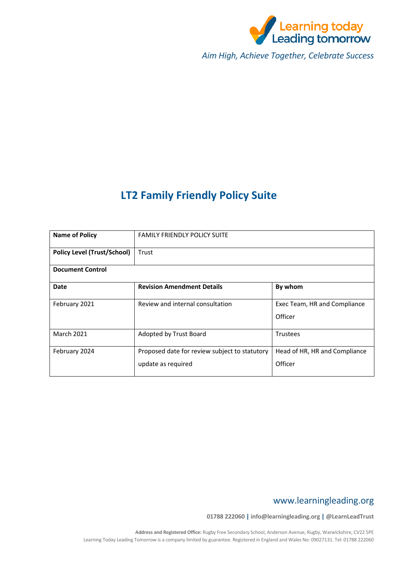

*Aim High, Achieve Together, Celebrate Success*

# **LT2 Family Friendly Policy Suite**

| <b>Name of Policy</b>              | <b>FAMILY FRIENDLY POLICY SUITE</b>                                 |                                          |  |  |
|------------------------------------|---------------------------------------------------------------------|------------------------------------------|--|--|
| <b>Policy Level (Trust/School)</b> | Trust                                                               |                                          |  |  |
| <b>Document Control</b>            |                                                                     |                                          |  |  |
| Date                               | <b>Revision Amendment Details</b>                                   | By whom                                  |  |  |
| February 2021                      | Review and internal consultation                                    | Exec Team, HR and Compliance<br>Officer  |  |  |
| <b>March 2021</b>                  | Adopted by Trust Board                                              | <b>Trustees</b>                          |  |  |
| February 2024                      | Proposed date for review subject to statutory<br>update as required | Head of HR, HR and Compliance<br>Officer |  |  |

## www.learningleading.org

**01788 222060 | info@learningleading.org | @LearnLeadTrust**

**Address and Registered Office:** Rugby Free Secondary School, Anderson Avenue, Rugby, Warwickshire, CV22 5PE Learning Today Leading Tomorrow is a company limited by guarantee. Registered in England and Wales No: 09027131. Tel: 01788 222060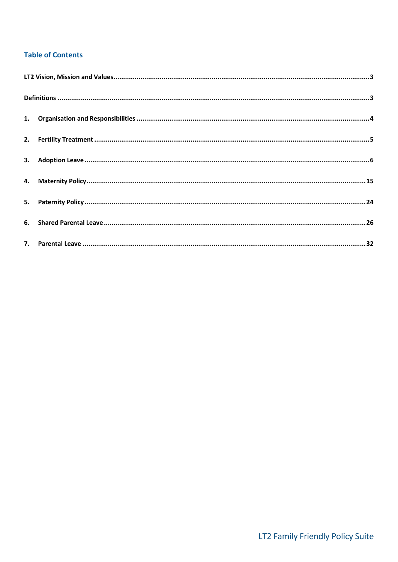## **Table of Contents**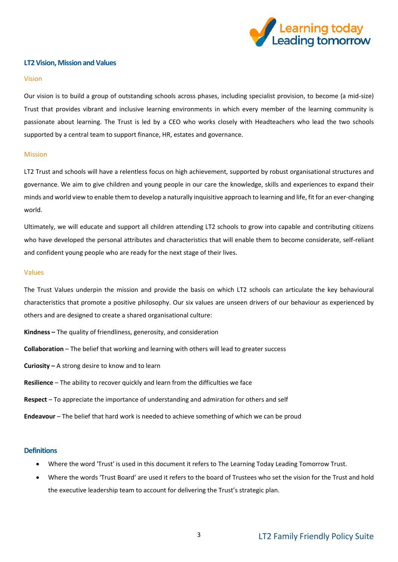

#### <span id="page-2-0"></span>**LT2 Vision, Mission and Values**

#### Vision

Our vision is to build a group of outstanding schools across phases, including specialist provision, to become (a mid-size) Trust that provides vibrant and inclusive learning environments in which every member of the learning community is passionate about learning. The Trust is led by a CEO who works closely with Headteachers who lead the two schools supported by a central team to support finance, HR, estates and governance.

#### Mission

LT2 Trust and schools will have a relentless focus on high achievement, supported by robust organisational structures and governance. We aim to give children and young people in our care the knowledge, skills and experiences to expand their minds and world view to enable them to develop a naturally inquisitive approach to learning and life, fit for an ever-changing world.

Ultimately, we will educate and support all children attending LT2 schools to grow into capable and contributing citizens who have developed the personal attributes and characteristics that will enable them to become considerate, self-reliant and confident young people who are ready for the next stage of their lives.

#### Values

The Trust Values underpin the mission and provide the basis on which LT2 schools can articulate the key behavioural characteristics that promote a positive philosophy. Our six values are unseen drivers of our behaviour as experienced by others and are designed to create a shared organisational culture:

- **Kindness –** The quality of friendliness, generosity, and consideration
- **Collaboration** The belief that working and learning with others will lead to greater success
- **Curiosity –** A strong desire to know and to learn
- **Resilience** The ability to recover quickly and learn from the difficulties we face
- **Respect** To appreciate the importance of understanding and admiration for others and self
- **Endeavour** The belief that hard work is needed to achieve something of which we can be proud

#### <span id="page-2-1"></span>**Definitions**

- Where the word 'Trust' is used in this document it refers to The Learning Today Leading Tomorrow Trust.
- Where the words 'Trust Board' are used it refers to the board of Trustees who set the vision for the Trust and hold the executive leadership team to account for delivering the Trust's strategic plan.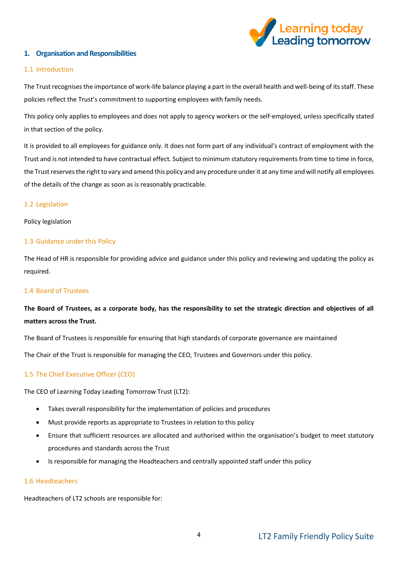

## <span id="page-3-0"></span>**1. Organisation and Responsibilities**

#### 1.1 Introduction

The Trust recognises the importance of work-life balance playing a part in the overall health and well-being of its staff. These policies reflect the Trust's commitment to supporting employees with family needs.

This policy only applies to employees and does not apply to agency workers or the self-employed, unless specifically stated in that section of the policy.

It is provided to all employees for guidance only. It does not form part of any individual's contract of employment with the Trust and is not intended to have contractual effect. Subject to minimum statutory requirements from time to time in force, the Trust reserves the right to vary and amend this policy and any procedure under it at any time and will notify all employees of the details of the change as soon as is reasonably practicable.

#### 1.2 Legislation

#### Policy legislation

#### 1.3 Guidance under this Policy

The Head of HR is responsible for providing advice and guidance under this policy and reviewing and updating the policy as required.

## 1.4 Board of Trustees

## **The Board of Trustees, as a corporate body, has the responsibility to set the strategic direction and objectives of all matters across the Trust.**

The Board of Trustees is responsible for ensuring that high standards of corporate governance are maintained

The Chair of the Trust is responsible for managing the CEO, Trustees and Governors under this policy.

## 1.5 The Chief Executive Officer (CEO)

The CEO of Learning Today Leading Tomorrow Trust (LT2):

- Takes overall responsibility for the implementation of policies and procedures
- Must provide reports as appropriate to Trustees in relation to this policy
- Ensure that sufficient resources are allocated and authorised within the organisation's budget to meet statutory procedures and standards across the Trust
- Is responsible for managing the Headteachers and centrally appointed staff under this policy

#### 1.6 Headteachers

Headteachers of LT2 schools are responsible for: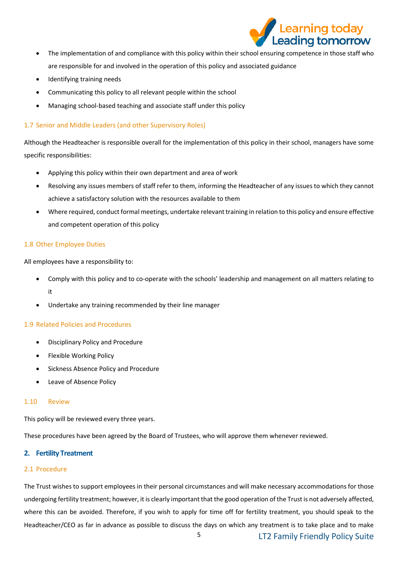

- The implementation of and compliance with this policy within their school ensuring competence in those staff who are responsible for and involved in the operation of this policy and associated guidance
- Identifying training needs
- Communicating this policy to all relevant people within the school
- Managing school-based teaching and associate staff under this policy

## 1.7 Senior and Middle Leaders (and other Supervisory Roles)

Although the Headteacher is responsible overall for the implementation of this policy in their school, managers have some specific responsibilities:

- Applying this policy within their own department and area of work
- Resolving any issues members of staff refer to them, informing the Headteacher of any issues to which they cannot achieve a satisfactory solution with the resources available to them
- Where required, conduct formal meetings, undertake relevant training in relation to this policy and ensure effective and competent operation of this policy

## 1.8 Other Employee Duties

All employees have a responsibility to:

- Comply with this policy and to co-operate with the schools' leadership and management on all matters relating to it
- Undertake any training recommended by their line manager

## 1.9 Related Policies and Procedures

- Disciplinary Policy and Procedure
- Flexible Working Policy
- Sickness Absence Policy and Procedure
- Leave of Absence Policy

## 1.10 Review

This policy will be reviewed every three years.

These procedures have been agreed by the Board of Trustees, who will approve them whenever reviewed.

## <span id="page-4-0"></span>**2. Fertility Treatment**

## 2.1 Procedure

The Trust wishes to support employees in their personal circumstances and will make necessary accommodations for those undergoing fertility treatment; however, it is clearly important that the good operation of the Trust is not adversely affected, where this can be avoided. Therefore, if you wish to apply for time off for fertility treatment, you should speak to the Headteacher/CEO as far in advance as possible to discuss the days on which any treatment is to take place and to make

5 LT2 Family Friendly Policy Suite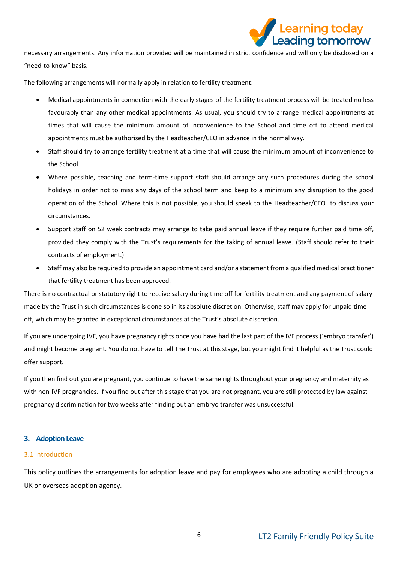

necessary arrangements. Any information provided will be maintained in strict confidence and will only be disclosed on a "need-to-know" basis.

The following arrangements will normally apply in relation to fertility treatment:

- Medical appointments in connection with the early stages of the fertility treatment process will be treated no less favourably than any other medical appointments. As usual, you should try to arrange medical appointments at times that will cause the minimum amount of inconvenience to the School and time off to attend medical appointments must be authorised by the Headteacher/CEO in advance in the normal way.
- Staff should try to arrange fertility treatment at a time that will cause the minimum amount of inconvenience to the School.
- Where possible, teaching and term-time support staff should arrange any such procedures during the school holidays in order not to miss any days of the school term and keep to a minimum any disruption to the good operation of the School. Where this is not possible, you should speak to the Headteacher/CEO to discuss your circumstances.
- Support staff on 52 week contracts may arrange to take paid annual leave if they require further paid time off, provided they comply with the Trust's requirements for the taking of annual leave. (Staff should refer to their contracts of employment.)
- Staff may also be required to provide an appointment card and/or a statement from a qualified medical practitioner that fertility treatment has been approved.

There is no contractual or statutory right to receive salary during time off for fertility treatment and any payment of salary made by the Trust in such circumstances is done so in its absolute discretion. Otherwise, staff may apply for unpaid time off, which may be granted in exceptional circumstances at the Trust's absolute discretion.

If you are undergoing IVF, you have pregnancy rights once you have had the last part of the IVF process ('embryo transfer') and might become pregnant. You do not have to tell The Trust at this stage, but you might find it helpful as the Trust could offer support.

If you then find out you are pregnant, you continue to have the same rights throughout your pregnancy and maternity as with non-IVF pregnancies. If you find out after this stage that you are not pregnant, you are still protected by law against pregnancy discrimination for two weeks after finding out an embryo transfer was unsuccessful.

## <span id="page-5-0"></span>**3. Adoption Leave**

#### 3.1 Introduction

This policy outlines the arrangements for adoption leave and pay for employees who are adopting a child through a UK or overseas adoption agency.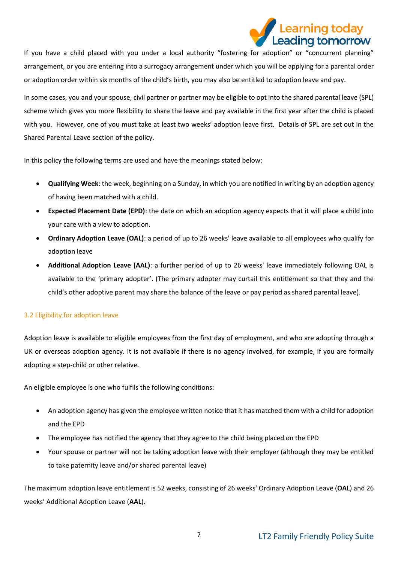

If you have a child placed with you under a local authority "fostering for adoption" or "concurrent planning" arrangement, or you are entering into a surrogacy arrangement under which you will be applying for a parental order or adoption order within six months of the child's birth, you may also be entitled to adoption leave and pay.

In some cases, you and your spouse, civil partner or partner may be eligible to opt into the shared parental leave (SPL) scheme which gives you more flexibility to share the leave and pay available in the first year after the child is placed with you. However, one of you must take at least two weeks' adoption leave first. Details of SPL are set out in the Shared Parental Leave section of the policy.

In this policy the following terms are used and have the meanings stated below:

- **Qualifying Week**: the week, beginning on a Sunday, in which you are notified in writing by an adoption agency of having been matched with a child.
- **Expected Placement Date (EPD)**: the date on which an adoption agency expects that it will place a child into your care with a view to adoption.
- **Ordinary Adoption Leave (OAL)**: a period of up to 26 weeks' leave available to all employees who qualify for adoption leave
- **Additional Adoption Leave (AAL)**: a further period of up to 26 weeks' leave immediately following OAL is available to the 'primary adopter'. (The primary adopter may curtail this entitlement so that they and the child's other adoptive parent may share the balance of the leave or pay period as shared parental leave).

## 3.2 Eligibility for adoption leave

Adoption leave is available to eligible employees from the first day of employment, and who are adopting through a UK or overseas adoption agency. It is not available if there is no agency involved, for example, if you are formally adopting a step-child or other relative.

An eligible employee is one who fulfils the following conditions:

- An adoption agency has given the employee written notice that it has matched them with a child for adoption and the EPD
- The employee has notified the agency that they agree to the child being placed on the EPD
- Your spouse or partner will not be taking adoption leave with their employer (although they may be entitled to take paternity leave and/or shared parental leave)

The maximum adoption leave entitlement is 52 weeks, consisting of 26 weeks' Ordinary Adoption Leave (**OAL**) and 26 weeks' Additional Adoption Leave (**AAL**).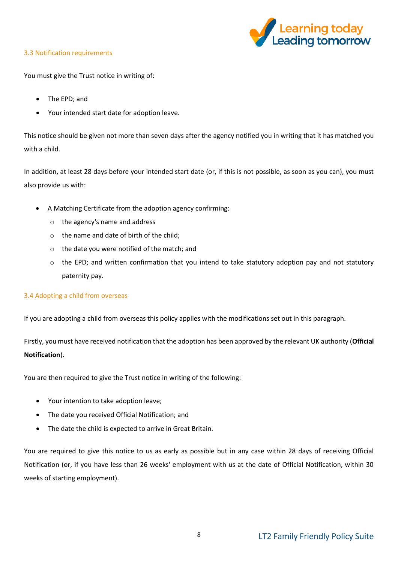

## 3.3 Notification requirements

You must give the Trust notice in writing of:

- The EPD; and
- Your intended start date for adoption leave.

This notice should be given not more than seven days after the agency notified you in writing that it has matched you with a child.

In addition, at least 28 days before your intended start date (or, if this is not possible, as soon as you can), you must also provide us with:

- A Matching Certificate from the adoption agency confirming:
	- o the agency's name and address
	- o the name and date of birth of the child;
	- o the date you were notified of the match; and
	- $\circ$  the EPD; and written confirmation that you intend to take statutory adoption pay and not statutory paternity pay.

## 3.4 Adopting a child from overseas

If you are adopting a child from overseas this policy applies with the modifications set out in this paragraph.

Firstly, you must have received notification that the adoption has been approved by the relevant UK authority (**Official Notification**).

You are then required to give the Trust notice in writing of the following:

- Your intention to take adoption leave;
- The date you received Official Notification; and
- The date the child is expected to arrive in Great Britain.

You are required to give this notice to us as early as possible but in any case within 28 days of receiving Official Notification (or, if you have less than 26 weeks' employment with us at the date of Official Notification, within 30 weeks of starting employment).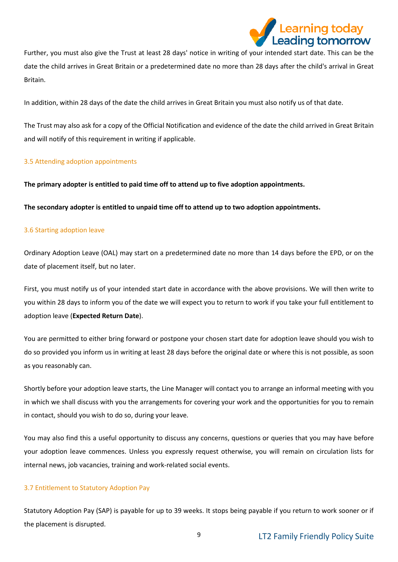

Further, you must also give the Trust at least 28 days' notice in writing of your intended start date. This can be the date the child arrives in Great Britain or a predetermined date no more than 28 days after the child's arrival in Great Britain.

In addition, within 28 days of the date the child arrives in Great Britain you must also notify us of that date.

The Trust may also ask for a copy of the Official Notification and evidence of the date the child arrived in Great Britain and will notify of this requirement in writing if applicable.

## 3.5 Attending adoption appointments

**The primary adopter is entitled to paid time off to attend up to five adoption appointments.** 

**The secondary adopter is entitled to unpaid time off to attend up to two adoption appointments.**

#### 3.6 Starting adoption leave

Ordinary Adoption Leave (OAL) may start on a predetermined date no more than 14 days before the EPD, or on the date of placement itself, but no later.

First, you must notify us of your intended start date in accordance with the above provisions. We will then write to you within 28 days to inform you of the date we will expect you to return to work if you take your full entitlement to adoption leave (**Expected Return Date**).

You are permitted to either bring forward or postpone your chosen start date for adoption leave should you wish to do so provided you inform us in writing at least 28 days before the original date or where this is not possible, as soon as you reasonably can.

Shortly before your adoption leave starts, the Line Manager will contact you to arrange an informal meeting with you in which we shall discuss with you the arrangements for covering your work and the opportunities for you to remain in contact, should you wish to do so, during your leave.

You may also find this a useful opportunity to discuss any concerns, questions or queries that you may have before your adoption leave commences. Unless you expressly request otherwise, you will remain on circulation lists for internal news, job vacancies, training and work-related social events.

## 3.7 Entitlement to Statutory Adoption Pay

Statutory Adoption Pay (SAP) is payable for up to 39 weeks. It stops being payable if you return to work sooner or if the placement is disrupted.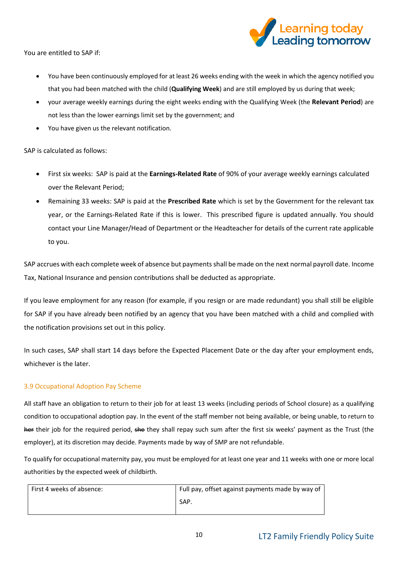

You are entitled to SAP if:

- You have been continuously employed for at least 26 weeks ending with the week in which the agency notified you that you had been matched with the child (**Qualifying Week**) and are still employed by us during that week;
- your average weekly earnings during the eight weeks ending with the Qualifying Week (the **Relevant Period**) are not less than the lower earnings limit set by the government; and
- You have given us the relevant notification.

SAP is calculated as follows:

- First six weeks: SAP is paid at the **Earnings-Related Rate** of 90% of your average weekly earnings calculated over the Relevant Period;
- Remaining 33 weeks: SAP is paid at the **Prescribed Rate** which is set by the Government for the relevant tax year, or the Earnings-Related Rate if this is lower. This prescribed figure is updated annually. You should contact your Line Manager/Head of Department or the Headteacher for details of the current rate applicable to you.

SAP accrues with each complete week of absence but payments shall be made on the next normal payroll date. Income Tax, National Insurance and pension contributions shall be deducted as appropriate.

If you leave employment for any reason (for example, if you resign or are made redundant) you shall still be eligible for SAP if you have already been notified by an agency that you have been matched with a child and complied with the notification provisions set out in this policy.

In such cases, SAP shall start 14 days before the Expected Placement Date or the day after your employment ends, whichever is the later.

## 3.9 Occupational Adoption Pay Scheme

All staff have an obligation to return to their job for at least 13 weeks (including periods of School closure) as a qualifying condition to occupational adoption pay. In the event of the staff member not being available, or being unable, to return to her their job for the required period, she they shall repay such sum after the first six weeks' payment as the Trust (the employer), at its discretion may decide. Payments made by way of SMP are not refundable.

To qualify for occupational maternity pay, you must be employed for at least one year and 11 weeks with one or more local authorities by the expected week of childbirth.

| First 4 weeks of absence: | Full pay, offset against payments made by way of |
|---------------------------|--------------------------------------------------|
|                           | SAP.                                             |
|                           |                                                  |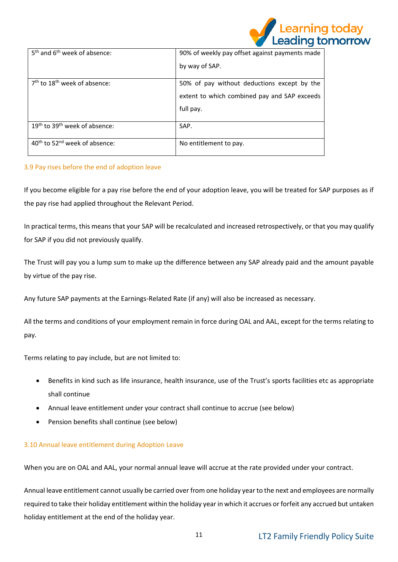

| 5 <sup>th</sup> and 6 <sup>th</sup> week of absence:  | 90% of weekly pay offset against payments made |
|-------------------------------------------------------|------------------------------------------------|
|                                                       | by way of SAP.                                 |
|                                                       |                                                |
| $7th$ to 18 <sup>th</sup> week of absence:            | 50% of pay without deductions except by the    |
|                                                       | extent to which combined pay and SAP exceeds   |
|                                                       | full pay.                                      |
|                                                       |                                                |
| 19 <sup>th</sup> to 39 <sup>th</sup> week of absence: | SAP.                                           |
| 40 <sup>th</sup> to 52 <sup>nd</sup> week of absence: | No entitlement to pay.                         |

## 3.9 Pay rises before the end of adoption leave

If you become eligible for a pay rise before the end of your adoption leave, you will be treated for SAP purposes as if the pay rise had applied throughout the Relevant Period.

In practical terms, this means that your SAP will be recalculated and increased retrospectively, or that you may qualify for SAP if you did not previously qualify.

The Trust will pay you a lump sum to make up the difference between any SAP already paid and the amount payable by virtue of the pay rise.

Any future SAP payments at the Earnings-Related Rate (if any) will also be increased as necessary.

All the terms and conditions of your employment remain in force during OAL and AAL, except for the terms relating to pay.

Terms relating to pay include, but are not limited to:

- Benefits in kind such as life insurance, health insurance, use of the Trust's sports facilities etc as appropriate shall continue
- Annual leave entitlement under your contract shall continue to accrue (see below)
- Pension benefits shall continue (see below)

## 3.10 Annual leave entitlement during Adoption Leave

When you are on OAL and AAL, your normal annual leave will accrue at the rate provided under your contract.

Annual leave entitlement cannot usually be carried over from one holiday year to the next and employees are normally required to take their holiday entitlement within the holiday year in which it accrues or forfeit any accrued but untaken holiday entitlement at the end of the holiday year.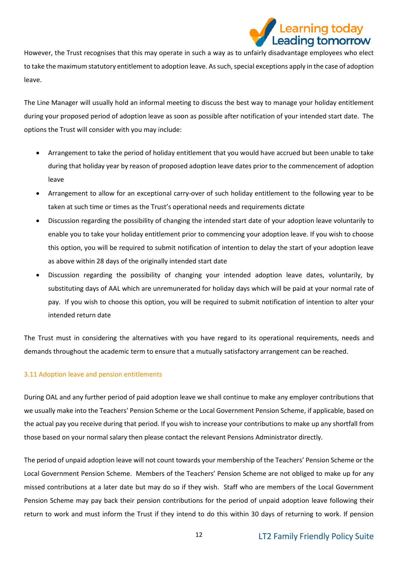

However, the Trust recognises that this may operate in such a way as to unfairly disadvantage employees who elect to take the maximum statutory entitlement to adoption leave. As such, special exceptions apply in the case of adoption leave.

The Line Manager will usually hold an informal meeting to discuss the best way to manage your holiday entitlement during your proposed period of adoption leave as soon as possible after notification of your intended start date. The options the Trust will consider with you may include:

- Arrangement to take the period of holiday entitlement that you would have accrued but been unable to take during that holiday year by reason of proposed adoption leave dates prior to the commencement of adoption leave
- Arrangement to allow for an exceptional carry-over of such holiday entitlement to the following year to be taken at such time or times as the Trust's operational needs and requirements dictate
- Discussion regarding the possibility of changing the intended start date of your adoption leave voluntarily to enable you to take your holiday entitlement prior to commencing your adoption leave. If you wish to choose this option, you will be required to submit notification of intention to delay the start of your adoption leave as above within 28 days of the originally intended start date
- Discussion regarding the possibility of changing your intended adoption leave dates, voluntarily, by substituting days of AAL which are unremunerated for holiday days which will be paid at your normal rate of pay. If you wish to choose this option, you will be required to submit notification of intention to alter your intended return date

The Trust must in considering the alternatives with you have regard to its operational requirements, needs and demands throughout the academic term to ensure that a mutually satisfactory arrangement can be reached.

## 3.11 Adoption leave and pension entitlements

During OAL and any further period of paid adoption leave we shall continue to make any employer contributions that we usually make into the Teachers' Pension Scheme or the Local Government Pension Scheme, if applicable, based on the actual pay you receive during that period. If you wish to increase your contributions to make up any shortfall from those based on your normal salary then please contact the relevant Pensions Administrator directly.

The period of unpaid adoption leave will not count towards your membership of the Teachers' Pension Scheme or the Local Government Pension Scheme. Members of the Teachers' Pension Scheme are not obliged to make up for any missed contributions at a later date but may do so if they wish. Staff who are members of the Local Government Pension Scheme may pay back their pension contributions for the period of unpaid adoption leave following their return to work and must inform the Trust if they intend to do this within 30 days of returning to work. If pension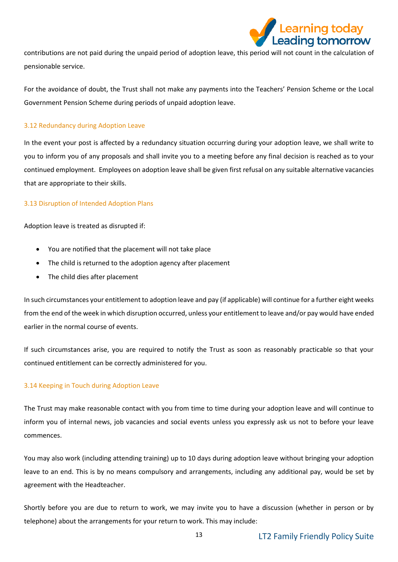

contributions are not paid during the unpaid period of adoption leave, this period will not count in the calculation of pensionable service.

For the avoidance of doubt, the Trust shall not make any payments into the Teachers' Pension Scheme or the Local Government Pension Scheme during periods of unpaid adoption leave.

## 3.12 Redundancy during Adoption Leave

In the event your post is affected by a redundancy situation occurring during your adoption leave, we shall write to you to inform you of any proposals and shall invite you to a meeting before any final decision is reached as to your continued employment. Employees on adoption leave shall be given first refusal on any suitable alternative vacancies that are appropriate to their skills.

## 3.13 Disruption of Intended Adoption Plans

Adoption leave is treated as disrupted if:

- You are notified that the placement will not take place
- The child is returned to the adoption agency after placement
- The child dies after placement

In such circumstances your entitlement to adoption leave and pay (if applicable) will continue for a further eight weeks from the end of the week in which disruption occurred, unless your entitlement to leave and/or pay would have ended earlier in the normal course of events.

If such circumstances arise, you are required to notify the Trust as soon as reasonably practicable so that your continued entitlement can be correctly administered for you.

## 3.14 Keeping in Touch during Adoption Leave

The Trust may make reasonable contact with you from time to time during your adoption leave and will continue to inform you of internal news, job vacancies and social events unless you expressly ask us not to before your leave commences.

You may also work (including attending training) up to 10 days during adoption leave without bringing your adoption leave to an end. This is by no means compulsory and arrangements, including any additional pay, would be set by agreement with the Headteacher.

Shortly before you are due to return to work, we may invite you to have a discussion (whether in person or by telephone) about the arrangements for your return to work. This may include: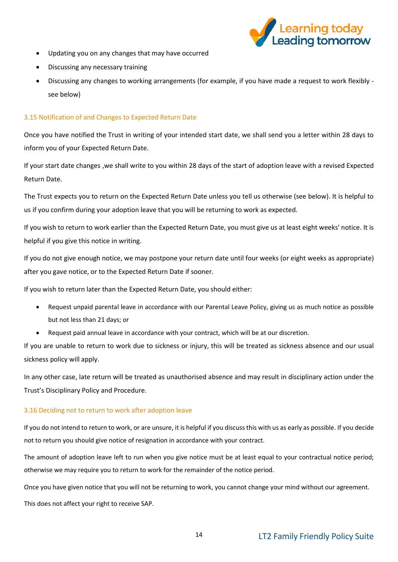

- Updating you on any changes that may have occurred
- Discussing any necessary training
- Discussing any changes to working arrangements (for example, if you have made a request to work flexibly see below)

## 3.15 Notification of and Changes to Expected Return Date

Once you have notified the Trust in writing of your intended start date, we shall send you a letter within 28 days to inform you of your Expected Return Date.

If your start date changes ,we shall write to you within 28 days of the start of adoption leave with a revised Expected Return Date.

The Trust expects you to return on the Expected Return Date unless you tell us otherwise (see below). It is helpful to us if you confirm during your adoption leave that you will be returning to work as expected.

If you wish to return to work earlier than the Expected Return Date, you must give us at least eight weeks' notice. It is helpful if you give this notice in writing.

If you do not give enough notice, we may postpone your return date until four weeks (or eight weeks as appropriate) after you gave notice, or to the Expected Return Date if sooner.

If you wish to return later than the Expected Return Date, you should either:

- Request unpaid parental leave in accordance with our Parental Leave Policy, giving us as much notice as possible but not less than 21 days; or
- Request paid annual leave in accordance with your contract, which will be at our discretion.

If you are unable to return to work due to sickness or injury, this will be treated as sickness absence and our usual sickness policy will apply.

In any other case, late return will be treated as unauthorised absence and may result in disciplinary action under the Trust's Disciplinary Policy and Procedure.

## 3.16 Deciding not to return to work after adoption leave

If you do not intend to return to work, or are unsure, it is helpful if you discuss this with us as early as possible. If you decide not to return you should give notice of resignation in accordance with your contract.

The amount of adoption leave left to run when you give notice must be at least equal to your contractual notice period; otherwise we may require you to return to work for the remainder of the notice period.

Once you have given notice that you will not be returning to work, you cannot change your mind without our agreement. This does not affect your right to receive SAP.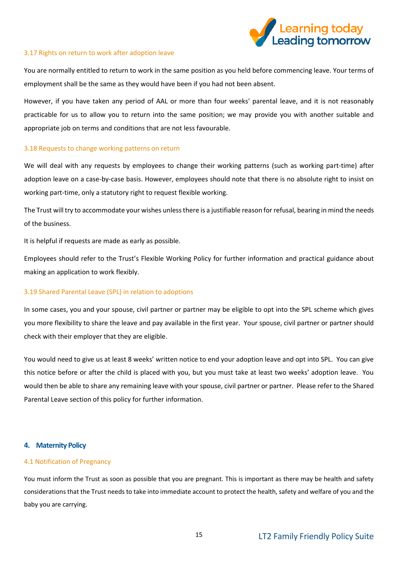

#### 3.17 Rights on return to work after adoption leave

You are normally entitled to return to work in the same position as you held before commencing leave. Your terms of employment shall be the same as they would have been if you had not been absent.

However, if you have taken any period of AAL or more than four weeks' parental leave, and it is not reasonably practicable for us to allow you to return into the same position; we may provide you with another suitable and appropriate job on terms and conditions that are not less favourable.

#### 3.18 Requests to change working patterns on return

We will deal with any requests by employees to change their working patterns (such as working part-time) after adoption leave on a case-by-case basis. However, employees should note that there is no absolute right to insist on working part-time, only a statutory right to request flexible working.

The Trust will try to accommodate your wishes unless there is a justifiable reason for refusal, bearing in mind the needs of the business.

It is helpful if requests are made as early as possible.

Employees should refer to the Trust's Flexible Working Policy for further information and practical guidance about making an application to work flexibly.

#### 3.19 Shared Parental Leave (SPL) in relation to adoptions

In some cases, you and your spouse, civil partner or partner may be eligible to opt into the SPL scheme which gives you more flexibility to share the leave and pay available in the first year. Your spouse, civil partner or partner should check with their employer that they are eligible.

You would need to give us at least 8 weeks' written notice to end your adoption leave and opt into SPL. You can give this notice before or after the child is placed with you, but you must take at least two weeks' adoption leave. You would then be able to share any remaining leave with your spouse, civil partner or partner. Please refer to the Shared Parental Leave section of this policy for further information.

#### <span id="page-14-0"></span>**4. Maternity Policy**

#### 4.1 Notification of Pregnancy

You must inform the Trust as soon as possible that you are pregnant. This is important as there may be health and safety considerations that the Trust needs to take into immediate account to protect the health, safety and welfare of you and the baby you are carrying.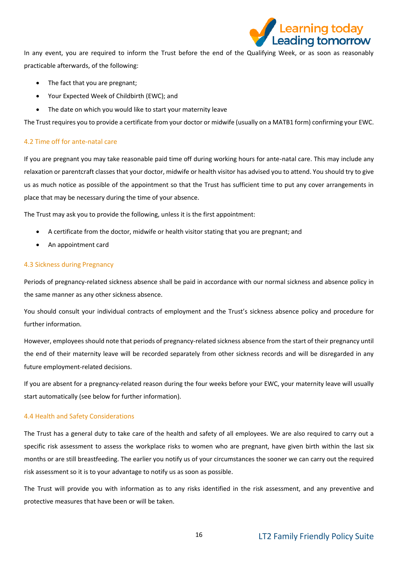

In any event, you are required to inform the Trust before the end of the Qualifying Week, or as soon as reasonably practicable afterwards, of the following:

- The fact that you are pregnant;
- Your Expected Week of Childbirth (EWC); and
- The date on which you would like to start your maternity leave

The Trust requires you to provide a certificate from your doctor or midwife (usually on a MATB1 form) confirming your EWC.

#### 4.2 Time off for ante-natal care

If you are pregnant you may take reasonable paid time off during working hours for ante-natal care. This may include any relaxation or parentcraft classes that your doctor, midwife or health visitor has advised you to attend. You should try to give us as much notice as possible of the appointment so that the Trust has sufficient time to put any cover arrangements in place that may be necessary during the time of your absence.

The Trust may ask you to provide the following, unless it is the first appointment:

- A certificate from the doctor, midwife or health visitor stating that you are pregnant; and
- An appointment card

#### 4.3 Sickness during Pregnancy

Periods of pregnancy-related sickness absence shall be paid in accordance with our normal sickness and absence policy in the same manner as any other sickness absence.

You should consult your individual contracts of employment and the Trust's sickness absence policy and procedure for further information.

However, employees should note that periods of pregnancy-related sickness absence from the start of their pregnancy until the end of their maternity leave will be recorded separately from other sickness records and will be disregarded in any future employment-related decisions.

If you are absent for a pregnancy-related reason during the four weeks before your EWC, your maternity leave will usually start automatically (see below for further information).

#### 4.4 Health and Safety Considerations

The Trust has a general duty to take care of the health and safety of all employees. We are also required to carry out a specific risk assessment to assess the workplace risks to women who are pregnant, have given birth within the last six months or are still breastfeeding. The earlier you notify us of your circumstances the sooner we can carry out the required risk assessment so it is to your advantage to notify us as soon as possible.

The Trust will provide you with information as to any risks identified in the risk assessment, and any preventive and protective measures that have been or will be taken.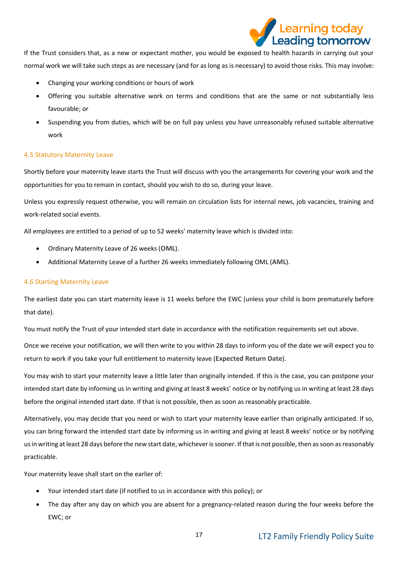

If the Trust considers that, as a new or expectant mother, you would be exposed to health hazards in carrying out your normal work we will take such steps as are necessary (and for as long as is necessary) to avoid those risks. This may involve:

- Changing your working conditions or hours of work
- Offering you suitable alternative work on terms and conditions that are the same or not substantially less favourable; or
- Suspending you from duties, which will be on full pay unless you have unreasonably refused suitable alternative work

#### 4.5 Statutory Maternity Leave

Shortly before your maternity leave starts the Trust will discuss with you the arrangements for covering your work and the opportunities for you to remain in contact, should you wish to do so, during your leave.

Unless you expressly request otherwise, you will remain on circulation lists for internal news, job vacancies, training and work-related social events.

All employees are entitled to a period of up to 52 weeks' maternity leave which is divided into:

- Ordinary Maternity Leave of 26 weeks (**OML**).
- Additional Maternity Leave of a further 26 weeks immediately following OML (**AML**).

#### 4.6 Starting Maternity Leave

The earliest date you can start maternity leave is 11 weeks before the EWC (unless your child is born prematurely before that date).

You must notify the Trust of your intended start date in accordance with the notification requirements set out above.

Once we receive your notification, we will then write to you within 28 days to inform you of the date we will expect you to return to work if you take your full entitlement to maternity leave (**Expected Return Date**).

You may wish to start your maternity leave a little later than originally intended. If this is the case, you can postpone your intended start date by informing us in writing and giving at least 8 weeks' notice or by notifying us in writing at least 28 days before the original intended start date. If that is not possible, then as soon as reasonably practicable.

Alternatively, you may decide that you need or wish to start your maternity leave earlier than originally anticipated. If so, you can bring forward the intended start date by informing us in writing and giving at least 8 weeks' notice or by notifying us in writing at least 28 days before the new start date, whichever is sooner. If that is not possible, then as soon as reasonably practicable.

Your maternity leave shall start on the earlier of:

- Your intended start date (if notified to us in accordance with this policy); or
- The day after any day on which you are absent for a pregnancy-related reason during the four weeks before the EWC; or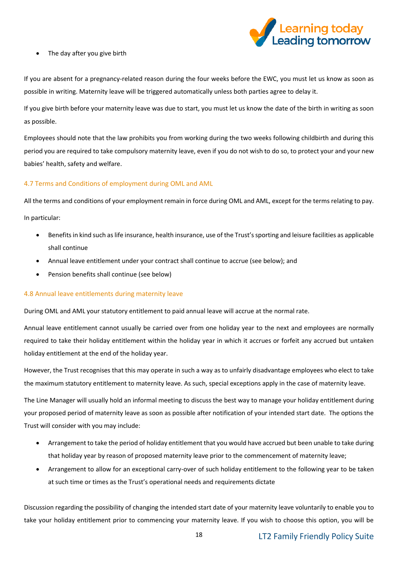

• The day after you give birth

If you are absent for a pregnancy-related reason during the four weeks before the EWC, you must let us know as soon as possible in writing. Maternity leave will be triggered automatically unless both parties agree to delay it.

If you give birth before your maternity leave was due to start, you must let us know the date of the birth in writing as soon as possible.

Employees should note that the law prohibits you from working during the two weeks following childbirth and during this period you are required to take compulsory maternity leave, even if you do not wish to do so, to protect your and your new babies' health, safety and welfare.

## 4.7 Terms and Conditions of employment during OML and AML

All the terms and conditions of your employment remain in force during OML and AML, except for the terms relating to pay.

In particular:

- Benefits in kind such as life insurance, health insurance, use of the Trust's sporting and leisure facilities as applicable shall continue
- Annual leave entitlement under your contract shall continue to accrue (see below); and
- Pension benefits shall continue (see below)

## 4.8 Annual leave entitlements during maternity leave

During OML and AML your statutory entitlement to paid annual leave will accrue at the normal rate.

Annual leave entitlement cannot usually be carried over from one holiday year to the next and employees are normally required to take their holiday entitlement within the holiday year in which it accrues or forfeit any accrued but untaken holiday entitlement at the end of the holiday year.

However, the Trust recognises that this may operate in such a way as to unfairly disadvantage employees who elect to take the maximum statutory entitlement to maternity leave. As such, special exceptions apply in the case of maternity leave.

The Line Manager will usually hold an informal meeting to discuss the best way to manage your holiday entitlement during your proposed period of maternity leave as soon as possible after notification of your intended start date. The options the Trust will consider with you may include:

- Arrangement to take the period of holiday entitlement that you would have accrued but been unable to take during that holiday year by reason of proposed maternity leave prior to the commencement of maternity leave;
- Arrangement to allow for an exceptional carry-over of such holiday entitlement to the following year to be taken at such time or times as the Trust's operational needs and requirements dictate

Discussion regarding the possibility of changing the intended start date of your maternity leave voluntarily to enable you to take your holiday entitlement prior to commencing your maternity leave. If you wish to choose this option, you will be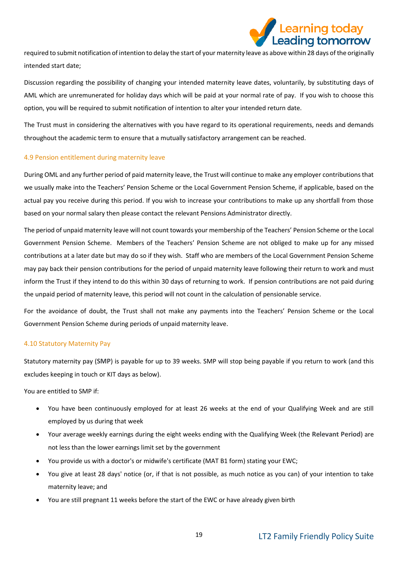

required to submit notification of intention to delay the start of your maternity leave as above within 28 days of the originally intended start date;

Discussion regarding the possibility of changing your intended maternity leave dates, voluntarily, by substituting days of AML which are unremunerated for holiday days which will be paid at your normal rate of pay. If you wish to choose this option, you will be required to submit notification of intention to alter your intended return date.

The Trust must in considering the alternatives with you have regard to its operational requirements, needs and demands throughout the academic term to ensure that a mutually satisfactory arrangement can be reached.

#### 4.9 Pension entitlement during maternity leave

During OML and any further period of paid maternity leave, the Trust will continue to make any employer contributions that we usually make into the Teachers' Pension Scheme or the Local Government Pension Scheme, if applicable, based on the actual pay you receive during this period. If you wish to increase your contributions to make up any shortfall from those based on your normal salary then please contact the relevant Pensions Administrator directly.

The period of unpaid maternity leave will not count towards your membership of the Teachers' Pension Scheme or the Local Government Pension Scheme. Members of the Teachers' Pension Scheme are not obliged to make up for any missed contributions at a later date but may do so if they wish. Staff who are members of the Local Government Pension Scheme may pay back their pension contributions for the period of unpaid maternity leave following their return to work and must inform the Trust if they intend to do this within 30 days of returning to work. If pension contributions are not paid during the unpaid period of maternity leave, this period will not count in the calculation of pensionable service.

For the avoidance of doubt, the Trust shall not make any payments into the Teachers' Pension Scheme or the Local Government Pension Scheme during periods of unpaid maternity leave.

## 4.10 Statutory Maternity Pay

Statutory maternity pay (**SMP**) is payable for up to 39 weeks. SMP will stop being payable if you return to work (and this excludes keeping in touch or KIT days as below).

You are entitled to SMP if:

- You have been continuously employed for at least 26 weeks at the end of your Qualifying Week and are still employed by us during that week
- Your average weekly earnings during the eight weeks ending with the Qualifying Week (the **Relevant Period**) are not less than the lower earnings limit set by the government
- You provide us with a doctor's or midwife's certificate (MAT B1 form) stating your EWC;
- You give at least 28 days' notice (or, if that is not possible, as much notice as you can) of your intention to take maternity leave; and
- You are still pregnant 11 weeks before the start of the EWC or have already given birth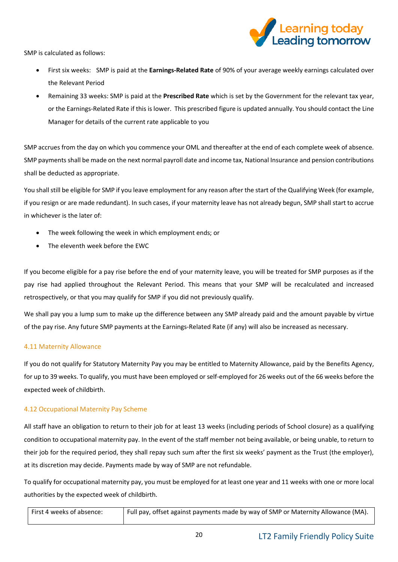

SMP is calculated as follows:

- First six weeks: SMP is paid at the **Earnings-Related Rate** of 90% of your average weekly earnings calculated over the Relevant Period
- Remaining 33 weeks: SMP is paid at the **Prescribed Rate** which is set by the Government for the relevant tax year, or the Earnings-Related Rate if this is lower. This prescribed figure is updated annually. You should contact the Line Manager for details of the current rate applicable to you

SMP accrues from the day on which you commence your OML and thereafter at the end of each complete week of absence. SMP payments shall be made on the next normal payroll date and income tax, National Insurance and pension contributions shall be deducted as appropriate.

You shall still be eligible for SMP if you leave employment for any reason after the start of the Qualifying Week (for example, if you resign or are made redundant). In such cases, if your maternity leave has not already begun, SMP shall start to accrue in whichever is the later of:

- The week following the week in which employment ends; or
- The eleventh week before the EWC

If you become eligible for a pay rise before the end of your maternity leave, you will be treated for SMP purposes as if the pay rise had applied throughout the Relevant Period. This means that your SMP will be recalculated and increased retrospectively, or that you may qualify for SMP if you did not previously qualify.

We shall pay you a lump sum to make up the difference between any SMP already paid and the amount payable by virtue of the pay rise. Any future SMP payments at the Earnings-Related Rate (if any) will also be increased as necessary.

## 4.11 Maternity Allowance

If you do not qualify for Statutory Maternity Pay you may be entitled to Maternity Allowance, paid by the Benefits Agency, for up to 39 weeks. To qualify, you must have been employed or self-employed for 26 weeks out of the 66 weeks before the expected week of childbirth.

## 4.12 Occupational Maternity Pay Scheme

All staff have an obligation to return to their job for at least 13 weeks (including periods of School closure) as a qualifying condition to occupational maternity pay. In the event of the staff member not being available, or being unable, to return to their job for the required period, they shall repay such sum after the first six weeks' payment as the Trust (the employer), at its discretion may decide. Payments made by way of SMP are not refundable.

To qualify for occupational maternity pay, you must be employed for at least one year and 11 weeks with one or more local authorities by the expected week of childbirth.

| First 4 weeks of absence: | Full pay, offset against payments made by way of SMP or Maternity Allowance (MA). |
|---------------------------|-----------------------------------------------------------------------------------|
|                           |                                                                                   |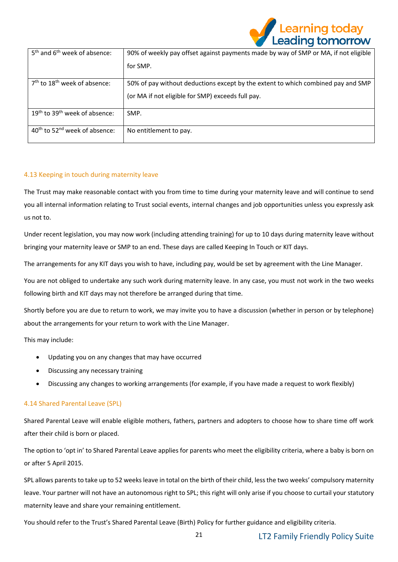

| 5 <sup>th</sup> and 6 <sup>th</sup> week of absence:  | 90% of weekly pay offset against payments made by way of SMP or MA, if not eligible |
|-------------------------------------------------------|-------------------------------------------------------------------------------------|
|                                                       | for SMP.                                                                            |
| $7th$ to 18 <sup>th</sup> week of absence:            | 50% of pay without deductions except by the extent to which combined pay and SMP    |
|                                                       | (or MA if not eligible for SMP) exceeds full pay.                                   |
| 19 <sup>th</sup> to 39 <sup>th</sup> week of absence: | SMP.                                                                                |
| 40 <sup>th</sup> to 52 <sup>nd</sup> week of absence: | No entitlement to pay.                                                              |

## 4.13 Keeping in touch during maternity leave

The Trust may make reasonable contact with you from time to time during your maternity leave and will continue to send you all internal information relating to Trust social events, internal changes and job opportunities unless you expressly ask us not to.

Under recent legislation, you may now work (including attending training) for up to 10 days during maternity leave without bringing your maternity leave or SMP to an end. These days are called Keeping In Touch or KIT days.

The arrangements for any KIT days you wish to have, including pay, would be set by agreement with the Line Manager.

You are not obliged to undertake any such work during maternity leave. In any case, you must not work in the two weeks following birth and KIT days may not therefore be arranged during that time.

Shortly before you are due to return to work, we may invite you to have a discussion (whether in person or by telephone) about the arrangements for your return to work with the Line Manager.

This may include:

- Updating you on any changes that may have occurred
- Discussing any necessary training
- Discussing any changes to working arrangements (for example, if you have made a request to work flexibly)

## 4.14 Shared Parental Leave (SPL)

Shared Parental Leave will enable eligible mothers, fathers, partners and adopters to choose how to share time off work after their child is born or placed.

The option to 'opt in' to Shared Parental Leave applies for parents who meet the eligibility criteria, where a baby is born on or after 5 April 2015.

SPL allows parents to take up to 52 weeks leave in total on the birth of their child, less the two weeks' compulsory maternity leave. Your partner will not have an autonomous right to SPL; this right will only arise if you choose to curtail your statutory maternity leave and share your remaining entitlement.

You should refer to the Trust's Shared Parental Leave (Birth) Policy for further guidance and eligibility criteria.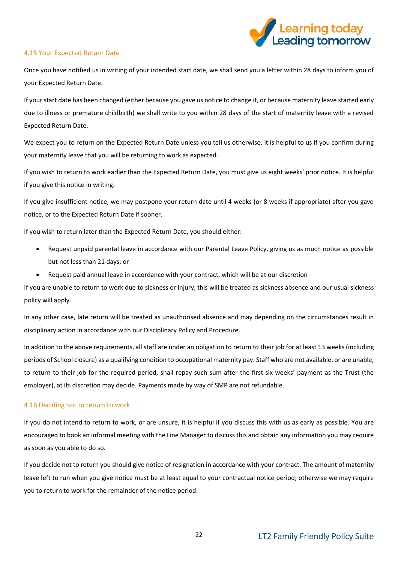

#### 4.15 Your Expected Return Date

Once you have notified us in writing of your intended start date, we shall send you a letter within 28 days to inform you of your Expected Return Date.

If your start date has been changed (either because you gave us notice to change it, or because maternity leave started early due to illness or premature childbirth) we shall write to you within 28 days of the start of maternity leave with a revised Expected Return Date.

We expect you to return on the Expected Return Date unless you tell us otherwise. It is helpful to us if you confirm during your maternity leave that you will be returning to work as expected.

If you wish to return to work earlier than the Expected Return Date, you must give us eight weeks' prior notice. It is helpful if you give this notice in writing.

If you give insufficient notice, we may postpone your return date until 4 weeks (or 8 weeks if appropriate) after you gave notice, or to the Expected Return Date if sooner.

If you wish to return later than the Expected Return Date, you should either:

- Request unpaid parental leave in accordance with our Parental Leave Policy, giving us as much notice as possible but not less than 21 days; or
- Request paid annual leave in accordance with your contract, which will be at our discretion

If you are unable to return to work due to sickness or injury, this will be treated as sickness absence and our usual sickness policy will apply.

In any other case, late return will be treated as unauthorised absence and may depending on the circumstances result in disciplinary action in accordance with our Disciplinary Policy and Procedure.

In addition to the above requirements, all staff are under an obligation to return to their job for at least 13 weeks (including periods of School closure) as a qualifying condition to occupational maternity pay. Staff who are not available, or are unable, to return to their job for the required period, shall repay such sum after the first six weeks' payment as the Trust (the employer), at its discretion may decide. Payments made by way of SMP are not refundable.

## 4.16 Deciding not to return to work

If you do not intend to return to work, or are unsure, it is helpful if you discuss this with us as early as possible. You are encouraged to book an informal meeting with the Line Manager to discuss this and obtain any information you may require as soon as you able to do so.

If you decide not to return you should give notice of resignation in accordance with your contract. The amount of maternity leave left to run when you give notice must be at least equal to your contractual notice period; otherwise we may require you to return to work for the remainder of the notice period.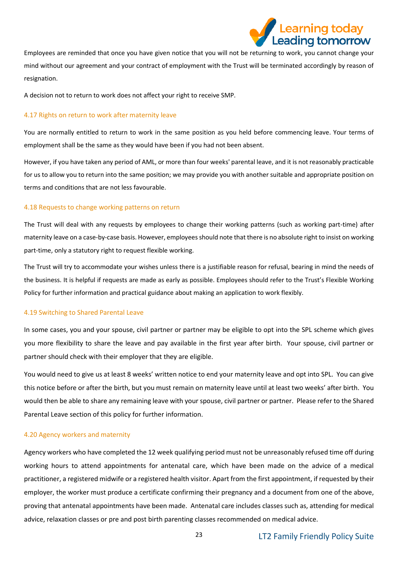

Employees are reminded that once you have given notice that you will not be returning to work, you cannot change your mind without our agreement and your contract of employment with the Trust will be terminated accordingly by reason of resignation.

A decision not to return to work does not affect your right to receive SMP.

## 4.17 Rights on return to work after maternity leave

You are normally entitled to return to work in the same position as you held before commencing leave. Your terms of employment shall be the same as they would have been if you had not been absent.

However, if you have taken any period of AML, or more than four weeks' parental leave, and it is not reasonably practicable for us to allow you to return into the same position; we may provide you with another suitable and appropriate position on terms and conditions that are not less favourable.

## 4.18 Requests to change working patterns on return

The Trust will deal with any requests by employees to change their working patterns (such as working part-time) after maternity leave on a case-by-case basis. However, employees should note that there is no absolute right to insist on working part-time, only a statutory right to request flexible working.

The Trust will try to accommodate your wishes unless there is a justifiable reason for refusal, bearing in mind the needs of the business. It is helpful if requests are made as early as possible. Employees should refer to the Trust's Flexible Working Policy for further information and practical guidance about making an application to work flexibly.

## 4.19 Switching to Shared Parental Leave

In some cases, you and your spouse, civil partner or partner may be eligible to opt into the SPL scheme which gives you more flexibility to share the leave and pay available in the first year after birth. Your spouse, civil partner or partner should check with their employer that they are eligible.

You would need to give us at least 8 weeks' written notice to end your maternity leave and opt into SPL. You can give this notice before or after the birth, but you must remain on maternity leave until at least two weeks' after birth. You would then be able to share any remaining leave with your spouse, civil partner or partner. Please refer to the Shared Parental Leave section of this policy for further information.

## 4.20 Agency workers and maternity

Agency workers who have completed the 12 week qualifying period must not be unreasonably refused time off during working hours to attend appointments for antenatal care, which have been made on the advice of a medical practitioner, a registered midwife or a registered health visitor. Apart from the first appointment, if requested by their employer, the worker must produce a certificate confirming their pregnancy and a document from one of the above, proving that antenatal appointments have been made. Antenatal care includes classes such as, attending for medical advice, relaxation classes or pre and post birth parenting classes recommended on medical advice.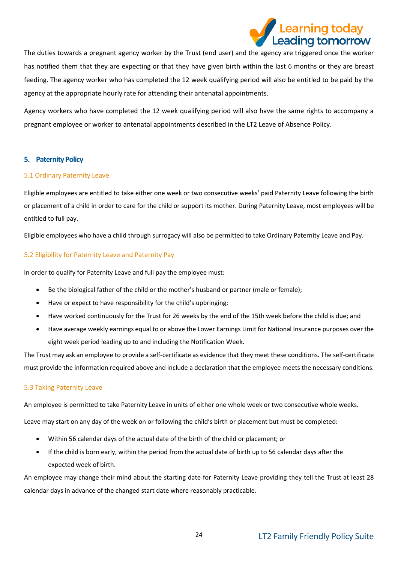

The duties towards a pregnant agency worker by the Trust (end user) and the agency are triggered once the worker has notified them that they are expecting or that they have given birth within the last 6 months or they are breast feeding. The agency worker who has completed the 12 week qualifying period will also be entitled to be paid by the agency at the appropriate hourly rate for attending their antenatal appointments.

Agency workers who have completed the 12 week qualifying period will also have the same rights to accompany a pregnant employee or worker to antenatal appointments described in the LT2 Leave of Absence Policy.

## <span id="page-23-0"></span>**5. Paternity Policy**

#### 5.1 Ordinary Paternity Leave

Eligible employees are entitled to take either one week or two consecutive weeks' paid Paternity Leave following the birth or placement of a child in order to care for the child or support its mother. During Paternity Leave, most employees will be entitled to full pay.

Eligible employees who have a child through surrogacy will also be permitted to take Ordinary Paternity Leave and Pay.

#### 5.2 Eligibility for Paternity Leave and Paternity Pay

In order to qualify for Paternity Leave and full pay the employee must:

- Be the biological father of the child or the mother's husband or partner (male or female);
- Have or expect to have responsibility for the child's upbringing;
- Have worked continuously for the Trust for 26 weeks by the end of the 15th week before the child is due; and
- Have average weekly earnings equal to or above the Lower Earnings Limit for National Insurance purposes over the eight week period leading up to and including the Notification Week.

The Trust may ask an employee to provide a self-certificate as evidence that they meet these conditions. The self-certificate must provide the information required above and include a declaration that the employee meets the necessary conditions.

#### 5.3 Taking Paternity Leave

An employee is permitted to take Paternity Leave in units of either one whole week or two consecutive whole weeks.

Leave may start on any day of the week on or following the child's birth or placement but must be completed:

- Within 56 calendar days of the actual date of the birth of the child or placement; or
- If the child is born early, within the period from the actual date of birth up to 56 calendar days after the expected week of birth.

An employee may change their mind about the starting date for Paternity Leave providing they tell the Trust at least 28 calendar days in advance of the changed start date where reasonably practicable.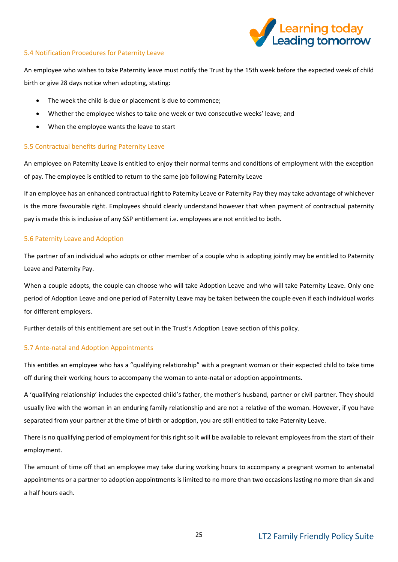

#### 5.4 Notification Procedures for Paternity Leave

An employee who wishes to take Paternity leave must notify the Trust by the 15th week before the expected week of child birth or give 28 days notice when adopting, stating:

- The week the child is due or placement is due to commence;
- Whether the employee wishes to take one week or two consecutive weeks' leave; and
- When the employee wants the leave to start

#### 5.5 Contractual benefits during Paternity Leave

An employee on Paternity Leave is entitled to enjoy their normal terms and conditions of employment with the exception of pay. The employee is entitled to return to the same job following Paternity Leave

If an employee has an enhanced contractual right to Paternity Leave or Paternity Pay they may take advantage of whichever is the more favourable right. Employees should clearly understand however that when payment of contractual paternity pay is made this is inclusive of any SSP entitlement i.e. employees are not entitled to both.

#### 5.6 Paternity Leave and Adoption

The partner of an individual who adopts or other member of a couple who is adopting jointly may be entitled to Paternity Leave and Paternity Pay.

When a couple adopts, the couple can choose who will take Adoption Leave and who will take Paternity Leave. Only one period of Adoption Leave and one period of Paternity Leave may be taken between the couple even if each individual works for different employers.

Further details of this entitlement are set out in the Trust's Adoption Leave section of this policy.

## 5.7 Ante-natal and Adoption Appointments

This entitles an employee who has a "qualifying relationship" with a pregnant woman or their expected child to take time off during their working hours to accompany the woman to ante-natal or adoption appointments.

A 'qualifying relationship' includes the expected child's father, the mother's husband, partner or civil partner. They should usually live with the woman in an enduring family relationship and are not a relative of the woman. However, if you have separated from your partner at the time of birth or adoption, you are still entitled to take Paternity Leave.

There is no qualifying period of employment for this right so it will be available to relevant employees from the start of their employment.

The amount of time off that an employee may take during working hours to accompany a pregnant woman to antenatal appointments or a partner to adoption appointments is limited to no more than two occasions lasting no more than six and a half hours each.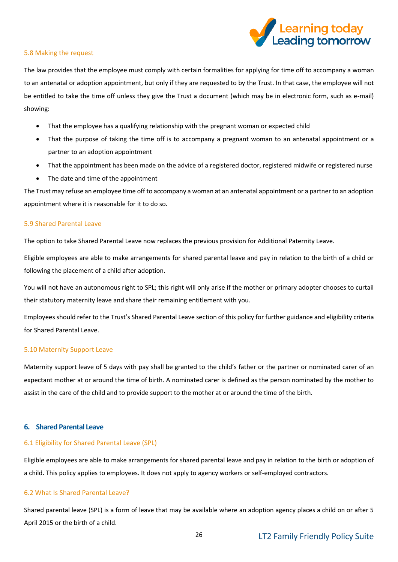

#### 5.8 Making the request

The law provides that the employee must comply with certain formalities for applying for time off to accompany a woman to an antenatal or adoption appointment, but only if they are requested to by the Trust. In that case, the employee will not be entitled to take the time off unless they give the Trust a document (which may be in electronic form, such as e-mail) showing:

- That the employee has a qualifying relationship with the pregnant woman or expected child
- That the purpose of taking the time off is to accompany a pregnant woman to an antenatal appointment or a partner to an adoption appointment
- That the appointment has been made on the advice of a registered doctor, registered midwife or registered nurse
- The date and time of the appointment

The Trust may refuse an employee time off to accompany a woman at an antenatal appointment or a partner to an adoption appointment where it is reasonable for it to do so.

#### 5.9 Shared Parental Leave

The option to take Shared Parental Leave now replaces the previous provision for Additional Paternity Leave.

Eligible employees are able to make arrangements for shared parental leave and pay in relation to the birth of a child or following the placement of a child after adoption.

You will not have an autonomous right to SPL; this right will only arise if the mother or primary adopter chooses to curtail their statutory maternity leave and share their remaining entitlement with you.

Employees should refer to the Trust's Shared Parental Leave section of this policy for further guidance and eligibility criteria for Shared Parental Leave.

#### 5.10 Maternity Support Leave

Maternity support leave of 5 days with pay shall be granted to the child's father or the partner or nominated carer of an expectant mother at or around the time of birth. A nominated carer is defined as the person nominated by the mother to assist in the care of the child and to provide support to the mother at or around the time of the birth.

#### <span id="page-25-0"></span>**6. Shared Parental Leave**

#### 6.1 Eligibility for Shared Parental Leave (SPL)

Eligible employees are able to make arrangements for shared parental leave and pay in relation to the birth or adoption of a child. This policy applies to employees. It does not apply to agency workers or self-employed contractors.

#### 6.2 What Is Shared Parental Leave?

Shared parental leave (SPL) is a form of leave that may be available where an adoption agency places a child on or after 5 April 2015 or the birth of a child.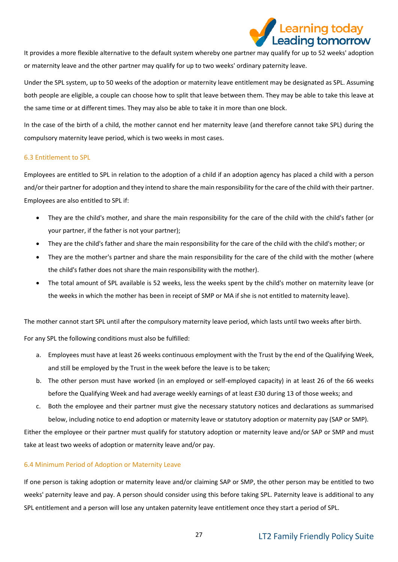

It provides a more flexible alternative to the default system whereby one partner may qualify for up to 52 weeks' adoption or maternity leave and the other partner may qualify for up to two weeks' ordinary paternity leave.

Under the SPL system, up to 50 weeks of the adoption or maternity leave entitlement may be designated as SPL. Assuming both people are eligible, a couple can choose how to split that leave between them. They may be able to take this leave at the same time or at different times. They may also be able to take it in more than one block.

In the case of the birth of a child, the mother cannot end her maternity leave (and therefore cannot take SPL) during the [compulsory maternity leave](http://uk.practicallaw.com/5-200-3103) period, which is two weeks in most cases.

#### 6.3 Entitlement to SPL

Employees are entitled to SPL in relation to the adoption of a child if an adoption agency has placed a child with a person and/or their partner for adoption and they intend to share the main responsibility for the care of the child with their partner. Employees are also entitled to SPL if:

- They are the child's mother, and share the main responsibility for the care of the child with the child's father (or your partner, if the father is not your partner);
- They are the child's father and share the main responsibility for the care of the child with the child's mother; or
- They are the mother's partner and share the main responsibility for the care of the child with the mother (where the child's father does not share the main responsibility with the mother).
- The total amount of SPL available is 52 weeks, less the weeks spent by the child's mother on maternity leave (or the weeks in which the mother has been in receipt of SMP or MA if she is not entitled to maternity leave).

The mother cannot start SPL until after the compulsory maternity leave period, which lasts until two weeks after birth.

For any SPL the following conditions must also be fulfilled:

- a. Employees must have at least 26 weeks continuous employment with the Trust by the end of the Qualifying Week, and still be employed by the Trust in the week before the leave is to be taken;
- b. The other person must have worked (in an employed or self-employed capacity) in at least 26 of the 66 weeks before the Qualifying Week and had average weekly earnings of at least £30 during 13 of those weeks; and
- c. Both the employee and their partner must give the necessary statutory notices and declarations as summarised below, including notice to end adoption or maternity leave or statutory adoption or maternity pay (SAP or SMP).

Either the employee or their partner must qualify for statutory adoption or maternity leave and/or SAP or SMP and must take at least two weeks of adoption or maternity leave and/or pay.

## 6.4 Minimum Period of Adoption or Maternity Leave

If one person is taking adoption or maternity leave and/or claiming SAP or SMP, the other person may be entitled to two weeks' paternity leave and pay. A person should consider using this before taking SPL. Paternity leave is additional to any SPL entitlement and a person will lose any untaken paternity leave entitlement once they start a period of SPL.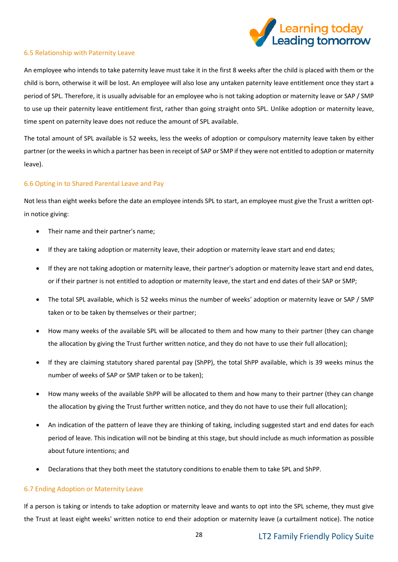

#### 6.5 Relationship with Paternity Leave

An employee who intends to take paternity leave must take it in the first 8 weeks after the child is placed with them or the child is born, otherwise it will be lost. An employee will also lose any untaken paternity leave entitlement once they start a period of SPL. Therefore, it is usually advisable for an employee who is not taking adoption or maternity leave or SAP / SMP to use up their paternity leave entitlement first, rather than going straight onto SPL. Unlike adoption or maternity leave, time spent on paternity leave does not reduce the amount of SPL available.

The total amount of SPL available is 52 weeks, less the weeks of adoption or compulsory maternity leave taken by either partner (or the weeks in which a partner has been in receipt of SAP or SMP if they were not entitled to adoption or maternity leave).

## 6.6 Opting in to Shared Parental Leave and Pay

Not less than eight weeks before the date an employee intends SPL to start, an employee must give the Trust a written optin notice giving:

- Their name and their partner's name;
- If they are taking adoption or maternity leave, their adoption or maternity leave start and end dates;
- If they are not taking adoption or maternity leave, their partner's adoption or maternity leave start and end dates, or if their partner is not entitled to adoption or maternity leave, the start and end dates of their SAP or SMP;
- The total SPL available, which is 52 weeks minus the number of weeks' adoption or maternity leave or SAP / SMP taken or to be taken by themselves or their partner;
- How many weeks of the available SPL will be allocated to them and how many to their partner (they can change the allocation by giving the Trust further written notice, and they do not have to use their full allocation);
- If they are claiming statutory shared parental pay (ShPP), the total ShPP available, which is 39 weeks minus the number of weeks of SAP or SMP taken or to be taken);
- How many weeks of the available ShPP will be allocated to them and how many to their partner (they can change the allocation by giving the Trust further written notice, and they do not have to use their full allocation);
- An indication of the pattern of leave they are thinking of taking, including suggested start and end dates for each period of leave. This indication will not be binding at this stage, but should include as much information as possible about future intentions; and
- Declarations that they both meet the statutory conditions to enable them to take SPL and ShPP.

## 6.7 Ending Adoption or Maternity Leave

If a person is taking or intends to take adoption or maternity leave and wants to opt into the SPL scheme, they must give the Trust at least eight weeks' written notice to end their adoption or maternity leave (a curtailment notice). The notice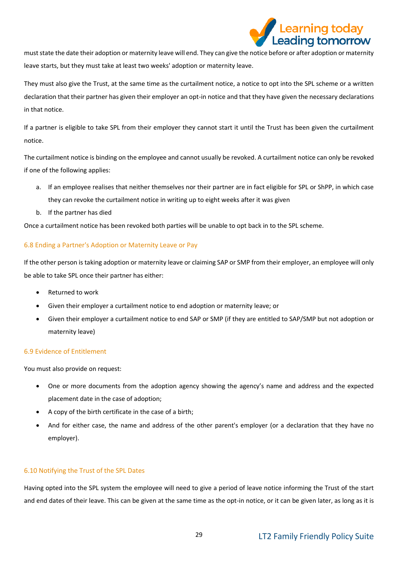

must state the date their adoption or maternity leave will end. They can give the notice before or after adoption or maternity leave starts, but they must take at least two weeks' adoption or maternity leave.

They must also give the Trust, at the same time as the curtailment notice, a notice to opt into the SPL scheme or a written declaration that their partner has given their employer an opt-in notice and that they have given the necessary declarations in that notice.

If a partner is eligible to take SPL from their employer they cannot start it until the Trust has been given the curtailment notice.

The curtailment notice is binding on the employee and cannot usually be revoked. A curtailment notice can only be revoked if one of the following applies:

- a. If an employee realises that neither themselves nor their partner are in fact eligible for SPL or ShPP, in which case they can revoke the curtailment notice in writing up to eight weeks after it was given
- b. If the partner has died

Once a curtailment notice has been revoked both parties will be unable to opt back in to the SPL scheme.

## 6.8 Ending a Partner's Adoption or Maternity Leave or Pay

If the other person is taking adoption or maternity leave or claiming SAP or SMP from their employer, an employee will only be able to take SPL once their partner has either:

- Returned to work
- Given their employer a curtailment notice to end adoption or maternity leave; or
- Given their employer a curtailment notice to end SAP or SMP (if they are entitled to SAP/SMP but not adoption or maternity leave)

## 6.9 Evidence of Entitlement

You must also provide on request:

- One or more documents from the adoption agency showing the agency's name and address and the expected placement date in the case of adoption;
- A copy of the birth certificate in the case of a birth;
- And for either case, the name and address of the other parent's employer (or a declaration that they have no employer).

## 6.10 Notifying the Trust of the SPL Dates

Having opted into the SPL system the employee will need to give a period of leave notice informing the Trust of the start and end dates of their leave. This can be given at the same time as the opt-in notice, or it can be given later, as long as it is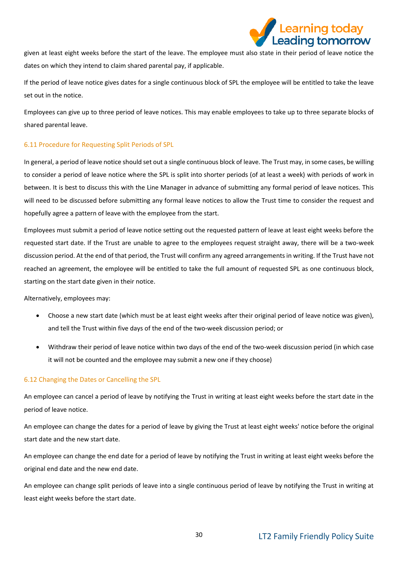

given at least eight weeks before the start of the leave. The employee must also state in their period of leave notice the dates on which they intend to claim shared parental pay, if applicable.

If the period of leave notice gives dates for a single continuous block of SPL the employee will be entitled to take the leave set out in the notice.

Employees can give up to three period of leave notices. This may enable employees to take up to three separate blocks of shared parental leave.

## 6.11 Procedure for Requesting Split Periods of SPL

In general, a period of leave notice should set out a single continuous block of leave. The Trust may, in some cases, be willing to consider a period of leave notice where the SPL is split into shorter periods (of at least a week) with periods of work in between. It is best to discuss this with the Line Manager in advance of submitting any formal period of leave notices. This will need to be discussed before submitting any formal leave notices to allow the Trust time to consider the request and hopefully agree a pattern of leave with the employee from the start.

Employees must submit a period of leave notice setting out the requested pattern of leave at least eight weeks before the requested start date. If the Trust are unable to agree to the employees request straight away, there will be a two-week discussion period. At the end of that period, the Trust will confirm any agreed arrangements in writing. If the Trust have not reached an agreement, the employee will be entitled to take the full amount of requested SPL as one continuous block, starting on the start date given in their notice.

Alternatively, employees may:

- Choose a new start date (which must be at least eight weeks after their original period of leave notice was given), and tell the Trust within five days of the end of the two-week discussion period; or
- Withdraw their period of leave notice within two days of the end of the two-week discussion period (in which case it will not be counted and the employee may submit a new one if they choose)

## 6.12 Changing the Dates or Cancelling the SPL

An employee can cancel a period of leave by notifying the Trust in writing at least eight weeks before the start date in the period of leave notice.

An employee can change the dates for a period of leave by giving the Trust at least eight weeks' notice before the original start date and the new start date.

An employee can change the end date for a period of leave by notifying the Trust in writing at least eight weeks before the original end date and the new end date.

An employee can change split periods of leave into a single continuous period of leave by notifying the Trust in writing at least eight weeks before the start date.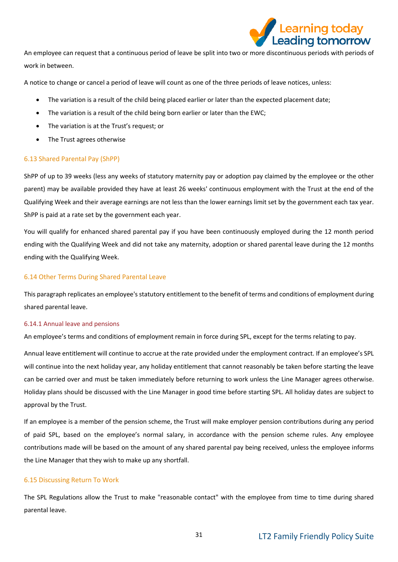

An employee can request that a continuous period of leave be split into two or more discontinuous periods with periods of work in between.

A notice to change or cancel a period of leave will count as one of the three periods of leave notices, unless:

- The variation is a result of the child being placed earlier or later than the expected placement date;
- The variation is a result of the child being born earlier or later than the EWC;
- The variation is at the Trust's request; or
- The Trust agrees otherwise

#### 6.13 Shared Parental Pay (ShPP)

ShPP of up to 39 weeks (less any weeks of statutory maternity pay or adoption pay claimed by the employee or the other parent) may be available provided they have at least 26 weeks' continuous employment with the Trust at the end of the Qualifying Week and their average earnings are not less than the lower earnings limit set by the government each tax year. ShPP is paid at a rate set by the government each year.

You will qualify for enhanced shared parental pay if you have been continuously employed during the 12 month period ending with the Qualifying Week and did not take any maternity, adoption or shared parental leave during the 12 months ending with the Qualifying Week.

#### 6.14 Other Terms During Shared Parental Leave

This paragraph replicates an employee's statutory entitlement to the benefit of terms and conditions of employment during shared parental leave.

#### 6.14.1 Annual leave and pensions

An employee's terms and conditions of employment remain in force during SPL, except for the terms relating to pay.

Annual leave entitlement will continue to accrue at the rate provided under the employment contract. If an employee's SPL will continue into the next holiday year, any holiday entitlement that cannot reasonably be taken before starting the leave can be carried over and must be taken immediately before returning to work unless the Line Manager agrees otherwise. Holiday plans should be discussed with the Line Manager in good time before starting SPL. All holiday dates are subject to approval by the Trust.

If an employee is a member of the pension scheme, the Trust will make employer pension contributions during any period of paid SPL, based on the employee's normal salary, in accordance with the pension scheme rules. Any employee contributions made will be based on the amount of any shared parental pay being received, unless the employee informs the Line Manager that they wish to make up any shortfall.

#### 6.15 Discussing Return To Work

The SPL Regulations allow the Trust to make "reasonable contact" with the employee from time to time during shared parental leave.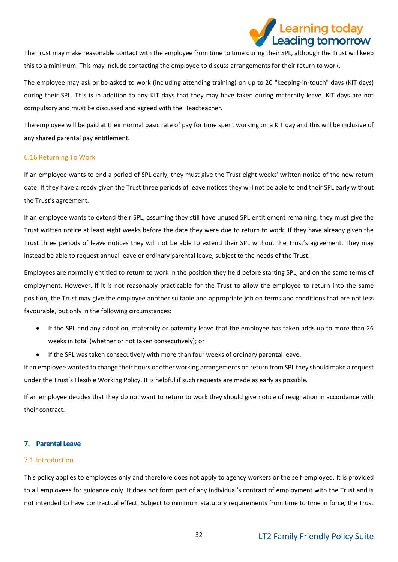

The Trust may make reasonable contact with the employee from time to time during their SPL, although the Trust will keep this to a minimum. This may include contacting the employee to discuss arrangements for their return to work.

The employee may ask or be asked to work (including attending training) on up to 20 "keeping-in-touch" days (KIT days) during their SPL. This is in addition to any KIT days that they may have taken during maternity leave. KIT days are not compulsory and must be discussed and agreed with the Headteacher.

The employee will be paid at their normal basic rate of pay for time spent working on a KIT day and this will be inclusive of any shared parental pay entitlement.

#### 6.16 Returning To Work

If an employee wants to end a period of SPL early, they must give the Trust eight weeks' written notice of the new return date. If they have already given the Trust three periods of leave notices they will not be able to end their SPL early without the Trust's agreement.

If an employee wants to extend their SPL, assuming they still have unused SPL entitlement remaining, they must give the Trust written notice at least eight weeks before the date they were due to return to work. If they have already given the Trust three periods of leave notices they will not be able to extend their SPL without the Trust's agreement. They may instead be able to request annual leave or ordinary parental leave, subject to the needs of the Trust.

Employees are normally entitled to return to work in the position they held before starting SPL, and on the same terms of employment. However, if it is not reasonably practicable for the Trust to allow the employee to return into the same position, the Trust may give the employee another suitable and appropriate job on terms and conditions that are not less favourable, but only in the following circumstances:

- If the SPL and any adoption, maternity or paternity leave that the employee has taken adds up to more than 26 weeks in total (whether or not taken consecutively); or
- If the SPL was taken consecutively with more than four weeks of ordinary parental leave.

If an employee wanted to change their hours or other working arrangements on return from SPL they should make a request under the Trust's Flexible Working Policy. It is helpful if such requests are made as early as possible.

If an employee decides that they do not want to return to work they should give notice of resignation in accordance with their contract.

#### <span id="page-31-0"></span>**7. Parental Leave**

#### 7.1 Introduction

This policy applies to employees only and therefore does not apply to agency workers or the self-employed. It is provided to all employees for guidance only. It does not form part of any individual's contract of employment with the Trust and is not intended to have contractual effect. Subject to minimum statutory requirements from time to time in force, the Trust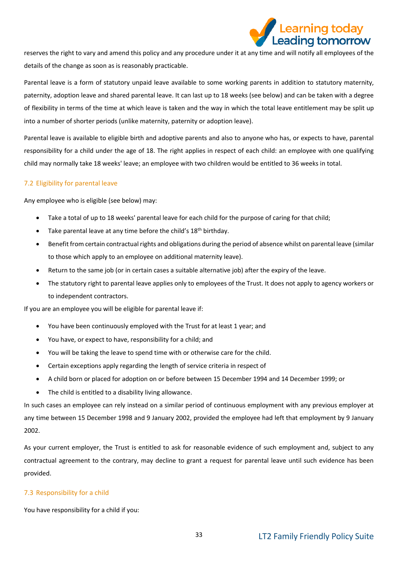

reserves the right to vary and amend this policy and any procedure under it at any time and will notify all employees of the details of the change as soon as is reasonably practicable.

Parental leave is a form of statutory unpaid leave available to some working parents in addition to statutory maternity, paternity, adoption leave and shared parental leave. It can last up to 18 weeks (see below) and can be taken with a degree of flexibility in terms of the time at which leave is taken and the way in which the total leave entitlement may be split up into a number of shorter periods (unlike maternity, paternity or adoption leave).

Parental leave is available to eligible birth and adoptive parents and also to anyone who has, or expects to have, parental responsibility for a child under the age of 18. The right applies in respect of each child: an employee with one qualifying child may normally take 18 weeks' leave; an employee with two children would be entitled to 36 weeks in total.

## 7.2 Eligibility for parental leave

Any employee who is eligible (see below) may:

- Take a total of up to 18 weeks' parental leave for each child for the purpose of caring for that child;
- Take parental leave at any time before the child's 18<sup>th</sup> birthday.
- Benefit from certain contractual rights and obligations during the period of absence whilst on parental leave (similar to those which apply to an employee on additional maternity leave).
- Return to the same job (or in certain cases a suitable alternative job) after the expiry of the leave.
- The statutory right to parental leave applies only to employees of the Trust. It does not apply to agency workers or to independent contractors.

If you are an employee you will be eligible for parental leave if:

- You have been continuously employed with the Trust for at least 1 year; and
- You have, or expect to have, responsibility for a child; and
- You will be taking the leave to spend time with or otherwise care for the child.
- Certain exceptions apply regarding the length of service criteria in respect of
- A child born or placed for adoption on or before between 15 December 1994 and 14 December 1999; or
- The child is entitled to a disability living allowance.

In such cases an employee can rely instead on a similar period of continuous employment with any previous employer at any time between 15 December 1998 and 9 January 2002, provided the employee had left that employment by 9 January 2002.

As your current employer, the Trust is entitled to ask for reasonable evidence of such employment and, subject to any contractual agreement to the contrary, may decline to grant a request for parental leave until such evidence has been provided.

## 7.3 Responsibility for a child

You have responsibility for a child if you: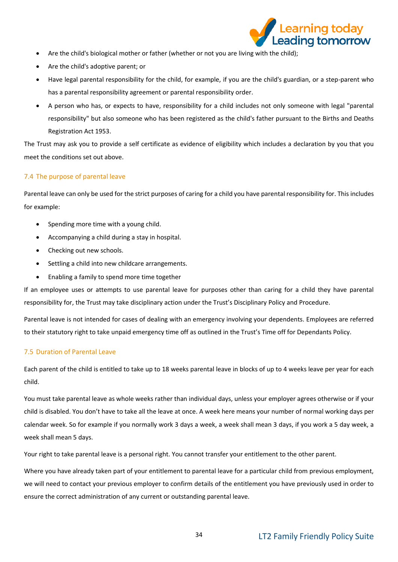

- Are the child's biological mother or father (whether or not you are living with the child);
- Are the child's adoptive parent; or
- Have legal parental responsibility for the child, for example, if you are the child's guardian, or a step-parent who has a parental responsibility agreement or parental responsibility order.
- A person who has, or expects to have, responsibility for a child includes not only someone with legal "parental responsibility" but also someone who has been registered as the child's father pursuant to the Births and Deaths Registration Act 1953.

The Trust may ask you to provide a self certificate as evidence of eligibility which includes a declaration by you that you meet the conditions set out above.

## 7.4 The purpose of parental leave

Parental leave can only be used for the strict purposes of caring for a child you have parental responsibility for. This includes for example:

- Spending more time with a young child.
- Accompanying a child during a stay in hospital.
- Checking out new schools.
- Settling a child into new childcare arrangements.
- Enabling a family to spend more time together

If an employee uses or attempts to use parental leave for purposes other than caring for a child they have parental responsibility for, the Trust may take disciplinary action under the Trust's Disciplinary Policy and Procedure.

Parental leave is not intended for cases of dealing with an emergency involving your dependents. Employees are referred to their statutory right to take unpaid emergency time off as outlined in the Trust's Time off for Dependants Policy.

## 7.5 Duration of Parental Leave

Each parent of the child is entitled to take up to 18 weeks parental leave in blocks of up to 4 weeks leave per year for each child.

You must take parental leave as whole weeks rather than individual days, unless your employer agrees otherwise or if your child is disabled. You don't have to take all the leave at once. A week here means your number of normal working days per calendar week. So for example if you normally work 3 days a week, a week shall mean 3 days, if you work a 5 day week, a week shall mean 5 days.

Your right to take parental leave is a personal right. You cannot transfer your entitlement to the other parent.

Where you have already taken part of your entitlement to parental leave for a particular child from previous employment, we will need to contact your previous employer to confirm details of the entitlement you have previously used in order to ensure the correct administration of any current or outstanding parental leave.